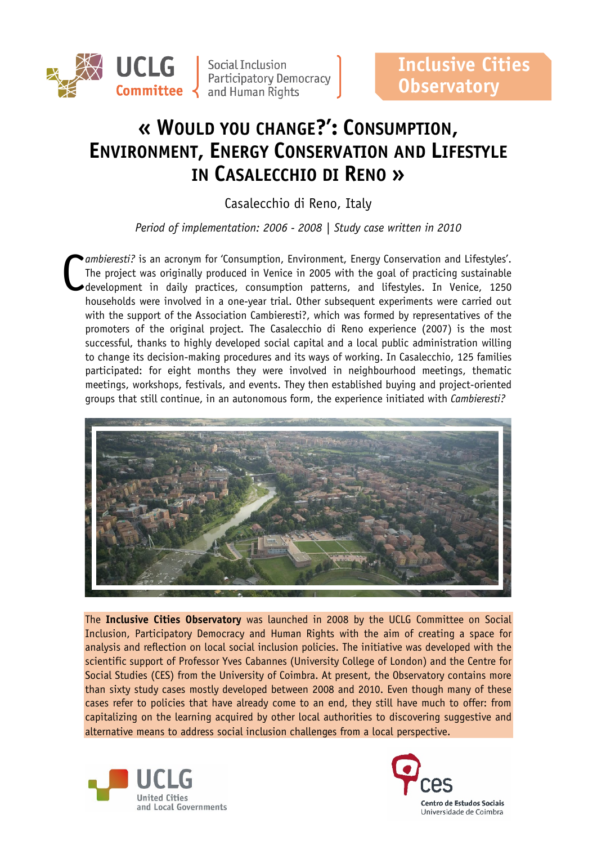

**UCLG** Social Inclusion<br>
Participatory Democracy<br> **Committee** and Human Rights

# **« WOULD YOU CHANGE?': CONSUMPTION, ENVIRONMENT, ENERGY CONSERVATION AND LIFESTYLE IN CASALECCHIO DI RENO »**

Casalecchio di Reno, Italy

*Period of implementation: 2006 - 2008 | Study case written in 2010*

*ambieresti?* is an acronym for 'Consumption, Environment, Energy Conservation and Lifestyles'. The project was originally produced in Venice in 2005 with the goal of practicing sustainable development in daily practices, consumption patterns, and lifestyles. In Venice, 1250 households were involved in a one-year trial. Other subsequent experiments were carried out with the support of the Association Cambieresti?, which was formed by representatives of the promoters of the original project. The Casalecchio di Reno experience (2007) is the most successful, thanks to highly developed social capital and a local public administration willing to change its decision-making procedures and its ways of working. In Casalecchio, 125 families participated: for eight months they were involved in neighbourhood meetings, thematic meetings, workshops, festivals, and events. They then established buying and project-oriented groups that still continue, in an autonomous form, the experience initiated with *Cambieresti?* C



The **Inclusive Cities Observatory** was launched in 2008 by the UCLG Committee on Social Inclusion, Participatory Democracy and Human Rights with the aim of creating a space for analysis and reflection on local social inclusion policies. The initiative was developed with the scientific support of Professor Yves Cabannes (University College of London) and the Centre for Social Studies (CES) from the University of Coimbra. At present, the Observatory contains more than sixty study cases mostly developed between 2008 and 2010. Even though many of these cases refer to policies that have already come to an end, they still have much to offer: from capitalizing on the learning acquired by other local authorities to discovering suggestive and alternative means to address social inclusion challenges from a local perspective.



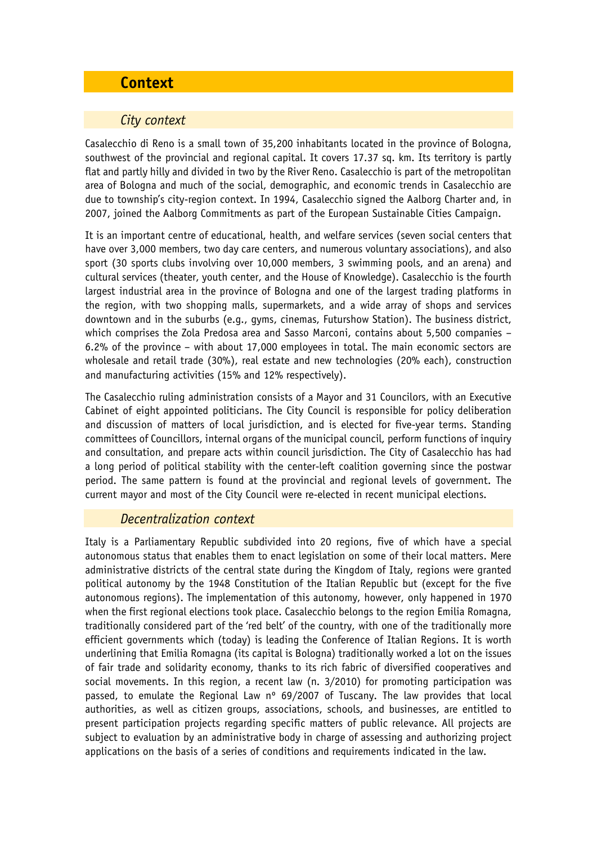# **Context**

# *City context*

Casalecchio di Reno is a small town of 35,200 inhabitants located in the province of Bologna, southwest of the provincial and regional capital. It covers 17.37 sq. km. Its territory is partly flat and partly hilly and divided in two by the River Reno. Casalecchio is part of the metropolitan area of Bologna and much of the social, demographic, and economic trends in Casalecchio are due to township's city-region context. In 1994, Casalecchio signed the Aalborg Charter and, in 2007, joined the Aalborg Commitments as part of the European Sustainable Cities Campaign.

It is an important centre of educational, health, and welfare services (seven social centers that have over 3,000 members, two day care centers, and numerous voluntary associations), and also sport (30 sports clubs involving over 10,000 members, 3 swimming pools, and an arena) and cultural services (theater, youth center, and the House of Knowledge). Casalecchio is the fourth largest industrial area in the province of Bologna and one of the largest trading platforms in the region, with two shopping malls, supermarkets, and a wide array of shops and services downtown and in the suburbs (e.g., gyms, cinemas, Futurshow Station). The business district, which comprises the Zola Predosa area and Sasso Marconi, contains about 5,500 companies – 6.2% of the province – with about 17,000 employees in total. The main economic sectors are wholesale and retail trade (30%), real estate and new technologies (20% each), construction and manufacturing activities (15% and 12% respectively).

The Casalecchio ruling administration consists of a Mayor and 31 Councilors, with an Executive Cabinet of eight appointed politicians. The City Council is responsible for policy deliberation and discussion of matters of local jurisdiction, and is elected for five-year terms. Standing committees of Councillors, internal organs of the municipal council, perform functions of inquiry and consultation, and prepare acts within council jurisdiction. The City of Casalecchio has had a long period of political stability with the center-left coalition governing since the postwar period. The same pattern is found at the provincial and regional levels of government. The current mayor and most of the City Council were re-elected in recent municipal elections.

### *Decentralization context*

Italy is a Parliamentary Republic subdivided into 20 regions, five of which have a special autonomous status that enables them to enact legislation on some of their local matters. Mere administrative districts of the central state during the Kingdom of Italy, regions were granted political autonomy by the 1948 Constitution of the Italian Republic but (except for the five autonomous regions). The implementation of this autonomy, however, only happened in 1970 when the first regional elections took place. Casalecchio belongs to the region Emilia Romagna, traditionally considered part of the 'red belt' of the country, with one of the traditionally more efficient governments which (today) is leading the Conference of Italian Regions. It is worth underlining that Emilia Romagna (its capital is Bologna) traditionally worked a lot on the issues of fair trade and solidarity economy, thanks to its rich fabric of diversified cooperatives and social movements. In this region, a recent law (n. 3/2010) for promoting participation was passed, to emulate the Regional Law nº 69/2007 of Tuscany. The law provides that local authorities, as well as citizen groups, associations, schools, and businesses, are entitled to present participation projects regarding specific matters of public relevance. All projects are subject to evaluation by an administrative body in charge of assessing and authorizing project applications on the basis of a series of conditions and requirements indicated in the law.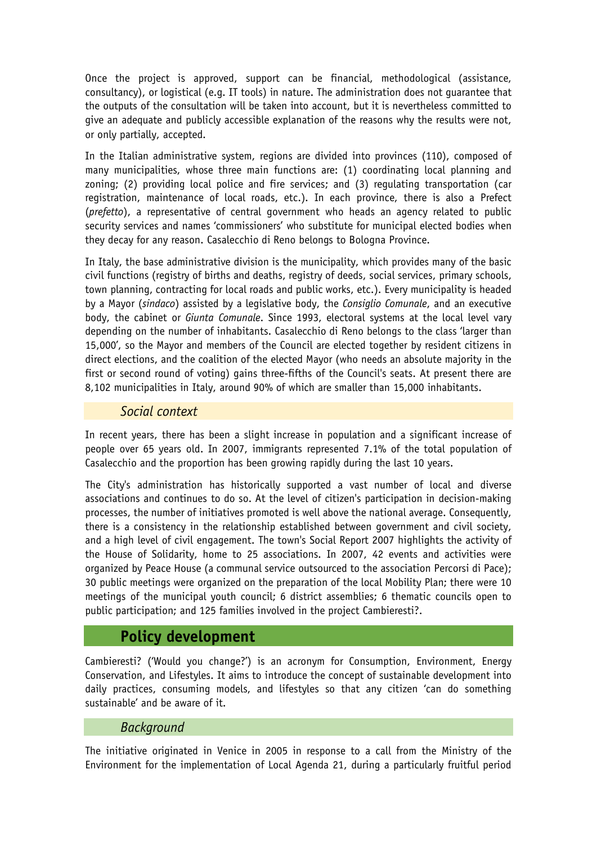Once the project is approved, support can be financial, methodological (assistance, consultancy), or logistical (e.g. IT tools) in nature. The administration does not guarantee that the outputs of the consultation will be taken into account, but it is nevertheless committed to give an adequate and publicly accessible explanation of the reasons why the results were not, or only partially, accepted.

In the Italian administrative system, regions are divided into provinces (110), composed of many municipalities, whose three main functions are: (1) coordinating local planning and zoning; (2) providing local police and fire services; and (3) regulating transportation (car registration, maintenance of local roads, etc.). In each province, there is also a Prefect (*prefetto*), a representative of central government who heads an agency related to public security services and names 'commissioners' who substitute for municipal elected bodies when they decay for any reason. Casalecchio di Reno belongs to Bologna Province.

In Italy, the base administrative division is the municipality, which provides many of the basic civil functions (registry of births and deaths, registry of deeds, social services, primary schools, town planning, contracting for local roads and public works, etc.). Every municipality is headed by a Mayor (*sindaco*) assisted by a legislative body, the *Consiglio Comunale*, and an executive body, the cabinet or *Giunta Comunale*. Since 1993, electoral systems at the local level vary depending on the number of inhabitants. Casalecchio di Reno belongs to the class 'larger than 15,000', so the Mayor and members of the Council are elected together by resident citizens in direct elections, and the coalition of the elected Mayor (who needs an absolute majority in the first or second round of voting) gains three-fifths of the Council's seats. At present there are 8,102 municipalities in Italy, around 90% of which are smaller than 15,000 inhabitants.

### *Social context*

In recent years, there has been a slight increase in population and a significant increase of people over 65 years old. In 2007, immigrants represented 7.1% of the total population of Casalecchio and the proportion has been growing rapidly during the last 10 years.

The City's administration has historically supported a vast number of local and diverse associations and continues to do so. At the level of citizen's participation in decision-making processes, the number of initiatives promoted is well above the national average. Consequently, there is a consistency in the relationship established between government and civil society, and a high level of civil engagement. The town's Social Report 2007 highlights the activity of the House of Solidarity, home to 25 associations. In 2007, 42 events and activities were organized by Peace House (a communal service outsourced to the association Percorsi di Pace); 30 public meetings were organized on the preparation of the local Mobility Plan; there were 10 meetings of the municipal youth council; 6 district assemblies; 6 thematic councils open to public participation; and 125 families involved in the project Cambieresti?.

# **Policy development**

Cambieresti? ('Would you change?') is an acronym for Consumption, Environment, Energy Conservation, and Lifestyles. It aims to introduce the concept of sustainable development into daily practices, consuming models, and lifestyles so that any citizen 'can do something sustainable' and be aware of it.

### *Background*

The initiative originated in Venice in 2005 in response to a call from the Ministry of the Environment for the implementation of Local Agenda 21, during a particularly fruitful period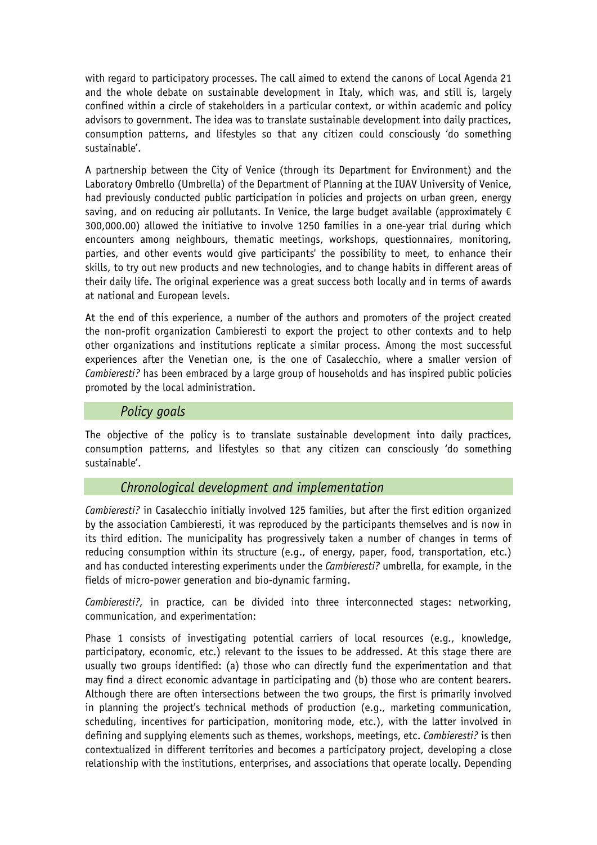with regard to participatory processes. The call aimed to extend the canons of Local Agenda 21 and the whole debate on sustainable development in Italy, which was, and still is, largely confined within a circle of stakeholders in a particular context, or within academic and policy advisors to government. The idea was to translate sustainable development into daily practices, consumption patterns, and lifestyles so that any citizen could consciously 'do something sustainable'.

A partnership between the City of Venice (through its Department for Environment) and the Laboratory Ombrello (Umbrella) of the Department of Planning at the IUAV University of Venice, had previously conducted public participation in policies and projects on urban green, energy saving, and on reducing air pollutants. In Venice, the large budget available (approximately  $\epsilon$ 300,000.00) allowed the initiative to involve 1250 families in a one-year trial during which encounters among neighbours, thematic meetings, workshops, questionnaires, monitoring, parties, and other events would give participants' the possibility to meet, to enhance their skills, to try out new products and new technologies, and to change habits in different areas of their daily life. The original experience was a great success both locally and in terms of awards at national and European levels.

At the end of this experience, a number of the authors and promoters of the project created the non-profit organization Cambieresti to export the project to other contexts and to help other organizations and institutions replicate a similar process. Among the most successful experiences after the Venetian one, is the one of Casalecchio, where a smaller version of *Cambieresti?* has been embraced by a large group of households and has inspired public policies promoted by the local administration.

## *Policy goals*

The objective of the policy is to translate sustainable development into daily practices, consumption patterns, and lifestyles so that any citizen can consciously 'do something sustainable'.

### *Chronological development and implementation*

*Cambieresti?* in Casalecchio initially involved 125 families, but after the first edition organized by the association Cambieresti, it was reproduced by the participants themselves and is now in its third edition. The municipality has progressively taken a number of changes in terms of reducing consumption within its structure (e.g., of energy, paper, food, transportation, etc.) and has conducted interesting experiments under the *Cambieresti?* umbrella, for example, in the fields of micro-power generation and bio-dynamic farming.

*Cambieresti?,* in practice, can be divided into three interconnected stages: networking, communication, and experimentation:

Phase 1 consists of investigating potential carriers of local resources (e.g., knowledge, participatory, economic, etc.) relevant to the issues to be addressed. At this stage there are usually two groups identified: (a) those who can directly fund the experimentation and that may find a direct economic advantage in participating and (b) those who are content bearers. Although there are often intersections between the two groups, the first is primarily involved in planning the project's technical methods of production (e.g., marketing communication, scheduling, incentives for participation, monitoring mode, etc.), with the latter involved in defining and supplying elements such as themes, workshops, meetings, etc. *Cambieresti?* is then contextualized in different territories and becomes a participatory project, developing a close relationship with the institutions, enterprises, and associations that operate locally. Depending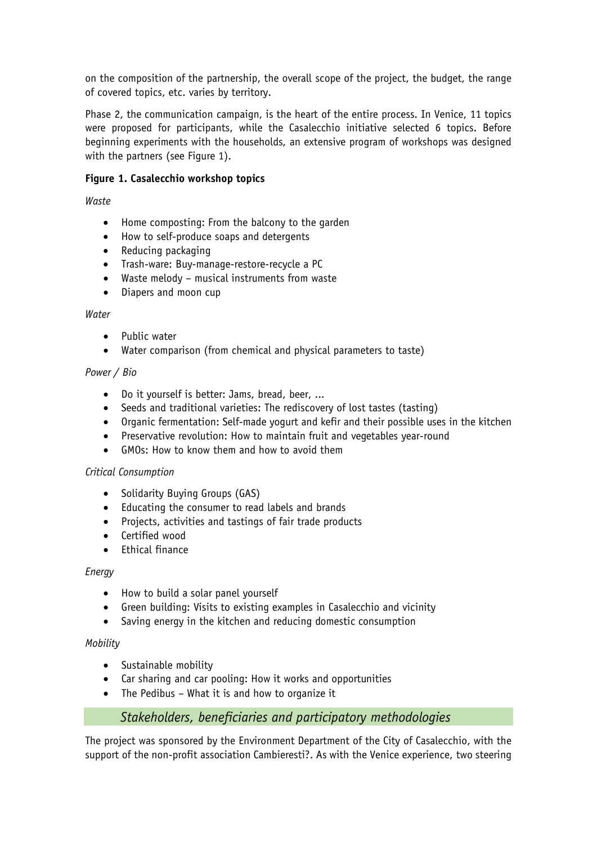on the composition of the partnership, the overall scope of the project, the budget, the range of covered topics, etc. varies by territory.

Phase 2, the communication campaign, is the heart of the entire process. In Venice, 11 topics were proposed for participants, while the Casalecchio initiative selected 6 topics. Before beginning experiments with the households, an extensive program of workshops was designed with the partners (see Figure 1).

#### **Figure 1. Casalecchio workshop topics**

*Waste*

- Home composting: From the balcony to the garden
- How to self-produce soaps and detergents
- Reducing packaging
- Trash-ware: Buy-manage-restore-recycle a PC
- Waste melody musical instruments from waste
- Diapers and moon cup

#### *Water*

- Public water
- Water comparison (from chemical and physical parameters to taste)

#### *Power / Bio*

- Do it yourself is better: Jams, bread, beer, ...
- Seeds and traditional varieties: The rediscovery of lost tastes (tasting)
- Organic fermentation: Self-made yogurt and kefir and their possible uses in the kitchen
- Preservative revolution: How to maintain fruit and vegetables year-round
- GMOs: How to know them and how to avoid them

#### *Critical Consumption*

- Solidarity Buying Groups (GAS)
- Educating the consumer to read labels and brands
- Projects, activities and tastings of fair trade products
- Certified wood
- Ethical finance

#### *Energy*

- How to build a solar panel yourself
- Green building: Visits to existing examples in Casalecchio and vicinity
- Saving energy in the kitchen and reducing domestic consumption

#### *Mobility*

- Sustainable mobility
- Car sharing and car pooling: How it works and opportunities
- The Pedibus What it is and how to organize it

### *Stakeholders, beneficiaries and participatory methodologies*

The project was sponsored by the Environment Department of the City of Casalecchio, with the support of the non-profit association Cambieresti?. As with the Venice experience, two steering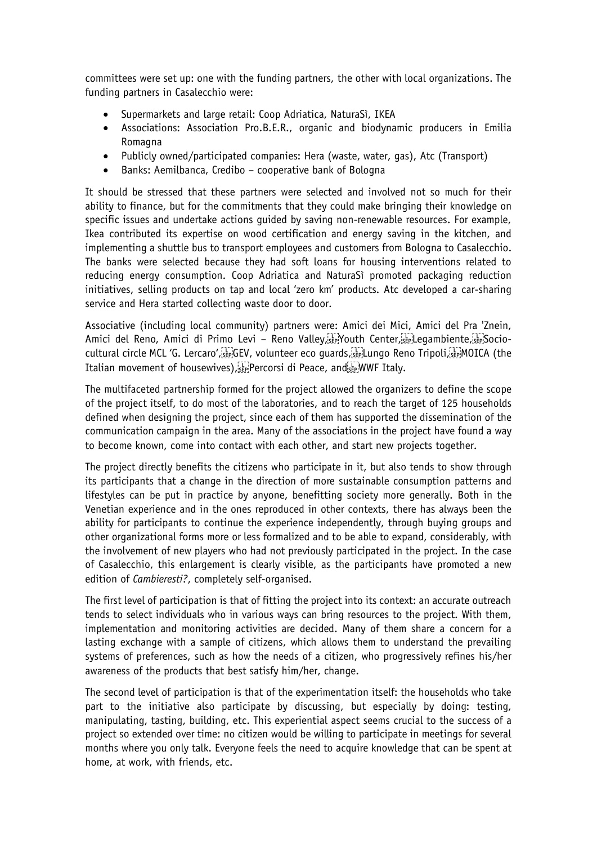committees were set up: one with the funding partners, the other with local organizations. The funding partners in Casalecchio were:

- Supermarkets and large retail: Coop Adriatica, NaturaSì, IKEA
- Associations: Association Pro.B.E.R., organic and biodynamic producers in Emilia Romagna
- Publicly owned/participated companies: Hera (waste, water, gas), Atc (Transport)
- Banks: Aemilbanca, Credibo cooperative bank of Bologna

It should be stressed that these partners were selected and involved not so much for their ability to finance, but for the commitments that they could make bringing their knowledge on specific issues and undertake actions guided by saving non-renewable resources. For example, Ikea contributed its expertise on wood certification and energy saving in the kitchen, and implementing a shuttle bus to transport employees and customers from Bologna to Casalecchio. The banks were selected because they had soft loans for housing interventions related to reducing energy consumption. Coop Adriatica and NaturaSì promoted packaging reduction initiatives, selling products on tap and local 'zero km' products. Atc developed a car-sharing service and Hera started collecting waste door to door.

Associative (including local community) partners were: Amici dei Mici, Amici del Pra 'Znein, Amici del Reno, Amici di Primo Levi - Reno Valley, SEP Youth Center, SEP Legambiente, SEP Sociocultural circle MCL 'G. Lercaro', ET GEV, volunteer eco quards, ET Lungo Reno Tripoli, ET MOICA (the Italian movement of housewives), File Percorsi di Peace, and EP WWF Italy.

The multifaceted partnership formed for the project allowed the organizers to define the scope of the project itself, to do most of the laboratories, and to reach the target of 125 households defined when designing the project, since each of them has supported the dissemination of the communication campaign in the area. Many of the associations in the project have found a way to become known, come into contact with each other, and start new projects together.

The project directly benefits the citizens who participate in it, but also tends to show through its participants that a change in the direction of more sustainable consumption patterns and lifestyles can be put in practice by anyone, benefitting society more generally. Both in the Venetian experience and in the ones reproduced in other contexts, there has always been the ability for participants to continue the experience independently, through buying groups and other organizational forms more or less formalized and to be able to expand, considerably, with the involvement of new players who had not previously participated in the project. In the case of Casalecchio, this enlargement is clearly visible, as the participants have promoted a new edition of *Cambieresti?*, completely self-organised.

The first level of participation is that of fitting the project into its context: an accurate outreach tends to select individuals who in various ways can bring resources to the project. With them, implementation and monitoring activities are decided. Many of them share a concern for a lasting exchange with a sample of citizens, which allows them to understand the prevailing systems of preferences, such as how the needs of a citizen, who progressively refines his/her awareness of the products that best satisfy him/her, change.

The second level of participation is that of the experimentation itself: the households who take part to the initiative also participate by discussing, but especially by doing: testing, manipulating, tasting, building, etc. This experiential aspect seems crucial to the success of a project so extended over time: no citizen would be willing to participate in meetings for several months where you only talk. Everyone feels the need to acquire knowledge that can be spent at home, at work, with friends, etc.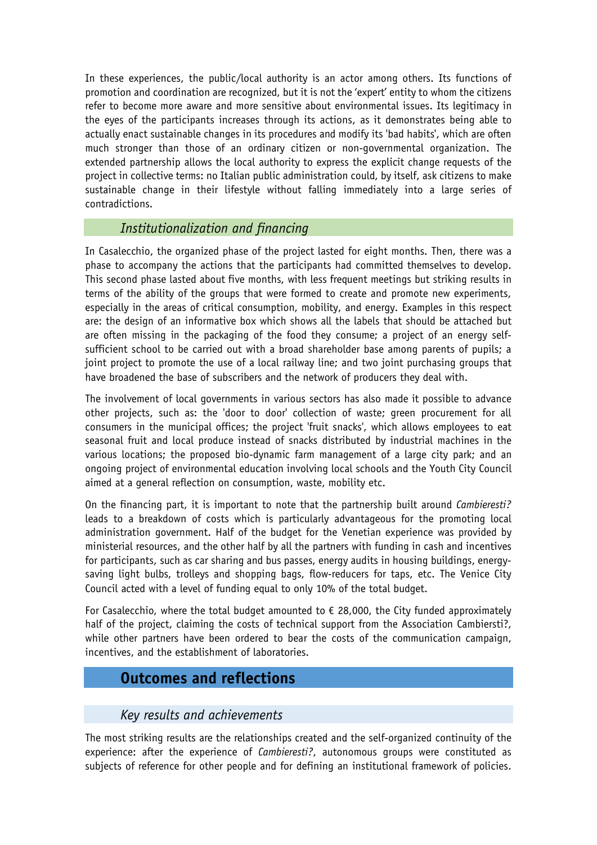In these experiences, the public/local authority is an actor among others. Its functions of promotion and coordination are recognized, but it is not the 'expert' entity to whom the citizens refer to become more aware and more sensitive about environmental issues. Its legitimacy in the eyes of the participants increases through its actions, as it demonstrates being able to actually enact sustainable changes in its procedures and modify its 'bad habits', which are often much stronger than those of an ordinary citizen or non-governmental organization. The extended partnership allows the local authority to express the explicit change requests of the project in collective terms: no Italian public administration could, by itself, ask citizens to make sustainable change in their lifestyle without falling immediately into a large series of contradictions.

# *Institutionalization and financing*

In Casalecchio, the organized phase of the project lasted for eight months. Then, there was a phase to accompany the actions that the participants had committed themselves to develop. This second phase lasted about five months, with less frequent meetings but striking results in terms of the ability of the groups that were formed to create and promote new experiments, especially in the areas of critical consumption, mobility, and energy. Examples in this respect are: the design of an informative box which shows all the labels that should be attached but are often missing in the packaging of the food they consume; a project of an energy selfsufficient school to be carried out with a broad shareholder base among parents of pupils; a joint project to promote the use of a local railway line; and two joint purchasing groups that have broadened the base of subscribers and the network of producers they deal with.

The involvement of local governments in various sectors has also made it possible to advance other projects, such as: the 'door to door' collection of waste; green procurement for all consumers in the municipal offices; the project 'fruit snacks', which allows employees to eat seasonal fruit and local produce instead of snacks distributed by industrial machines in the various locations; the proposed bio-dynamic farm management of a large city park; and an ongoing project of environmental education involving local schools and the Youth City Council aimed at a general reflection on consumption, waste, mobility etc.

On the financing part, it is important to note that the partnership built around *Cambieresti?* leads to a breakdown of costs which is particularly advantageous for the promoting local administration government. Half of the budget for the Venetian experience was provided by ministerial resources, and the other half by all the partners with funding in cash and incentives for participants, such as car sharing and bus passes, energy audits in housing buildings, energysaving light bulbs, trolleys and shopping bags, flow-reducers for taps, etc. The Venice City Council acted with a level of funding equal to only 10% of the total budget.

For Casalecchio, where the total budget amounted to  $\epsilon$  28,000, the City funded approximately half of the project, claiming the costs of technical support from the Association Cambiersti?, while other partners have been ordered to bear the costs of the communication campaign, incentives, and the establishment of laboratories.

# **Outcomes and reflections**

# *Key results and achievements*

The most striking results are the relationships created and the self-organized continuity of the experience: after the experience of *Cambieresti?*, autonomous groups were constituted as subjects of reference for other people and for defining an institutional framework of policies.